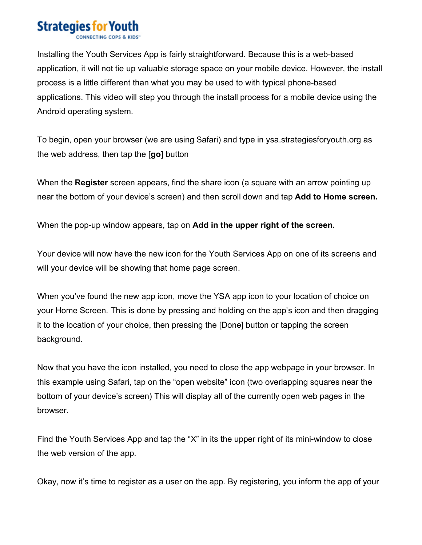## **Strategies for You**

Installing the Youth Services App is fairly straightforward. Because this is a web-based application, it will not tie up valuable storage space on your mobile device. However, the install process is a little different than what you may be used to with typical phone-based applications. This video will step you through the install process for a mobile device using the Android operating system.

To begin, open your browser (we are using Safari) and type in ysa.strategiesforyouth.org as the web address, then tap the [**go]** button

When the **Register** screen appears, find the share icon (a square with an arrow pointing up near the bottom of your device's screen) and then scroll down and tap **Add to Home screen.**

When the pop-up window appears, tap on **Add in the upper right of the screen.**

Your device will now have the new icon for the Youth Services App on one of its screens and will your device will be showing that home page screen.

When you've found the new app icon, move the YSA app icon to your location of choice on your Home Screen. This is done by pressing and holding on the app's icon and then dragging it to the location of your choice, then pressing the [Done] button or tapping the screen background.

Now that you have the icon installed, you need to close the app webpage in your browser. In this example using Safari, tap on the "open website" icon (two overlapping squares near the bottom of your device's screen) This will display all of the currently open web pages in the browser.

Find the Youth Services App and tap the "X" in its the upper right of its mini-window to close the web version of the app.

Okay, now it's time to register as a user on the app. By registering, you inform the app of your